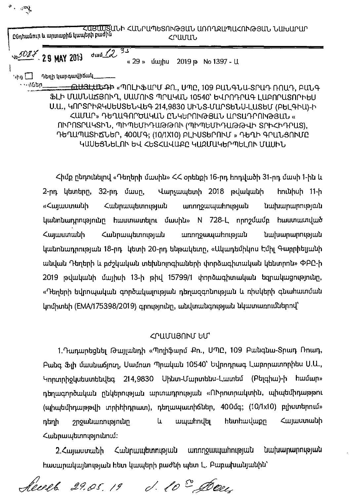ՀԱՅԱՍՏԱՆԻ ՀԱՆՐԱՊԵՏՈՒԹՅԱՆ ԱՌՈՂՋԱՊԱՀՈՒԹՅԱՆ ՆԱԽԱՐԱՐ Ընդհանուր և արտաքին կապերի բաժին **<PUUUU** 35  $du$   $d$ <sub>J0</sub>5087 29 MAY 2013 «  $29$  »  $\mu$ 2019 p No 1397 - U Դեռի նարգավիճակ ՝ ւից  $\bigsqcup$ <sup>្ត</sup>េះ (រូបិង<u>ព្</u> 

 $\mathcal{F} \leftarrow \mathcal{F}$ 

ՖԼԻ ՄԱՍՆԱՃՅՈՒՂ, ՍԱՄՈՒՏ ՊՐԱԿԱՆ 10540՝ ԵՎՐՈԴՐԱԳ ԼԱԲՈՐԱՏՈՐԻԵՍ Ս.Ա., ԿՈՐՏՐԻՋԿՍԵՍՏԵՆՎԵԳ 214,9830 ՍԻՆՏ-ՄԱՐՏԵՆՍ-ԼԱՏԵՄ (ԲԵԼԳԻԱ)-Ի ՀԱՄԱՐ» ԴԵՂԱԳՈՐԾԱԿԱՆ ԸՆԿԵՐՈՒԹՅԱՆ ԱՐՏԱԴՐՈՒԹՅԱՆ « ՈՒՐՈՏՐԱԿՏԻՆ, ՊԻՊԵՄԻԴԱԹԹՈՒ (ՊԻՊԵՄԻԴԱԹԹՎԻ ՏՐԻՀԻԴՐԱՏ), ԴԵՂԱՊԱՏԻՃՆԵՐ, 400ՄԳ; (10/1X10) ԲԼԻՍՏԵՐՈՒՄ » ԴԵՂԻ ԳՐԱՆՑՈՒՄԸ ԿԱՍԵՑՆԵԼՈՒ ԵՎ ՀԵՏՀԱՎԱՔԸ ԿԱԶՄԱԿԵՐՊԵԼՈՒ ՄԱՍԻՆ

Հիմք ընդունելով «Դեղերի մասին» ՀՀ օրենքի 16-րդ հոդվածի 31-րդ մասի 1-ին և 2-րդ կետերը, 32-րդ մասը, Վարչապետի 2018 թվականի hnuuhuh 11-h «Հայաստանի Հանրապետության unnnowwwhnipuuu Նախարարության կանոնադրությունը հաստատելու մասին» N 728-L որոշմամբ հաստատված առողջապահության *<u>Curupumutunnualuu</u>l Cunumulutu* Նախարարության կանոնադրության 18-րդ կետի 20-րդ ենթակետր, «Ակադեմիկոս Էմիլ Գաբրիելյանի անվան Դեղերի և բժշկական տեխնոյոգիաների փորձագիտական կենտրոն» ՓԲԸ-ի 2019 թվականի մայիսի 13-ի թիվ 15799/1 փործագիտական եզրակացությունը, «Դեղերի եվրոպական գործակալության դեղազգոնության և ռիսկերի գնահատման կոմիտեի (EMA/175398/2019) գրությունը, անվտանգության նկատառումներով՝

## ՀՐԱՄԱՅՈՒՄ ԵՄ՝

1. Դադարեցնել Թայլանդի «Պոլիֆարմ Քո., ՍՊԸ, 109 Բանգնա-Տրադ Ռոադ, Բանգ Ֆլի մասնաճյուղ, Սամուտ Պրական 10540՝ Եվրոդրագ Լաբորատորիես Ս.Ա., Կորտրիջկսեստենվեգ 214,9830 Սինտ-Մարտենս-Լատեմ (Բելգիա)-ի համար» դեղագործական ընկերության արտադրության «ՈՒրոտրակտին, պիպեմիդաթթու (պիպեմիդաթթվի տրիիիդրատ), դեղապատիճներ, 400մգ; (10/1x10) բլիստերում» **u** հետհավաքը *Cuguuunuuh* շրջանառությունը ապահովել դեղի Հանրապետությունում:

Հանրապետության առողջապահության Նախարարության 2.Հայաստանի հասարակայնության հետ կապերի բաժնի պետ Լ. Բաբախանյանին՝

lears 29.05.19 d. 10° Joeu